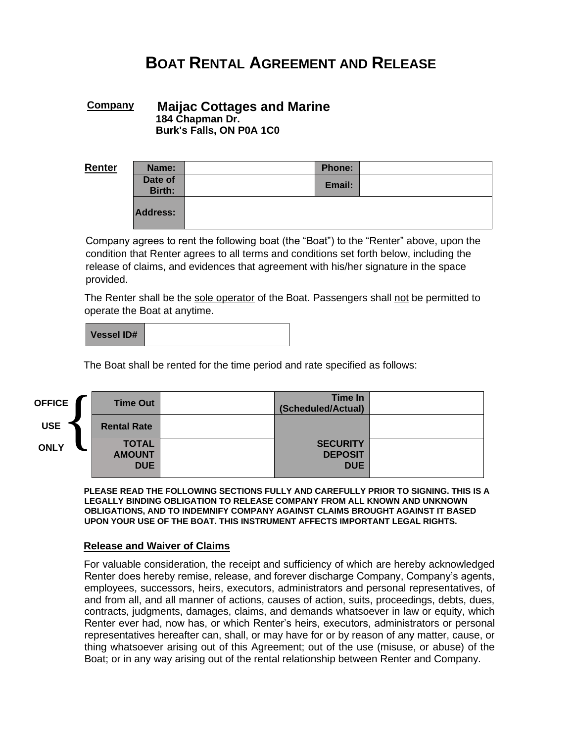# **BOAT RENTAL AGREEMENT AND RELEASE**

## **Company Maijac Cottages and Marine 184 Chapman Dr. Burk's Falls, ON P0A 1C0**

| Renter | Name:                    | <b>Phone:</b> |  |
|--------|--------------------------|---------------|--|
|        | Date of<br><b>Birth:</b> | Email:        |  |
|        | Address:                 |               |  |

Company agrees to rent the following boat (the "Boat") to the "Renter" above, upon the condition that Renter agrees to all terms and conditions set forth below, including the release of claims, and evidences that agreement with his/her signature in the space provided.

The Renter shall be the sole operator of the Boat. Passengers shall not be permitted to operate the Boat at anytime.

| <b>Vessel ID#</b> |  |
|-------------------|--|
|-------------------|--|

The Boat shall be rented for the time period and rate specified as follows:

| <b>OFFICE</b> | <b>Time Out</b>                             | Time In<br>(Scheduled/Actual)                   |  |
|---------------|---------------------------------------------|-------------------------------------------------|--|
| <b>USE</b>    | <b>Rental Rate</b>                          |                                                 |  |
| <b>ONLY</b>   | <b>TOTAL</b><br><b>AMOUNT</b><br><b>DUE</b> | <b>SECURITY</b><br><b>DEPOSIT</b><br><b>DUE</b> |  |
|               |                                             |                                                 |  |

**PLEASE READ THE FOLLOWING SECTIONS FULLY AND CAREFULLY PRIOR TO SIGNING. THIS IS A LEGALLY BINDING OBLIGATION TO RELEASE COMPANY FROM ALL KNOWN AND UNKNOWN OBLIGATIONS, AND TO INDEMNIFY COMPANY AGAINST CLAIMS BROUGHT AGAINST IT BASED UPON YOUR USE OF THE BOAT. THIS INSTRUMENT AFFECTS IMPORTANT LEGAL RIGHTS.**

#### **Release and Waiver of Claims**

For valuable consideration, the receipt and sufficiency of which are hereby acknowledged Renter does hereby remise, release, and forever discharge Company, Company's agents, employees, successors, heirs, executors, administrators and personal representatives, of and from all, and all manner of actions, causes of action, suits, proceedings, debts, dues, contracts, judgments, damages, claims, and demands whatsoever in law or equity, which Renter ever had, now has, or which Renter's heirs, executors, administrators or personal representatives hereafter can, shall, or may have for or by reason of any matter, cause, or thing whatsoever arising out of this Agreement; out of the use (misuse, or abuse) of the Boat; or in any way arising out of the rental relationship between Renter and Company.